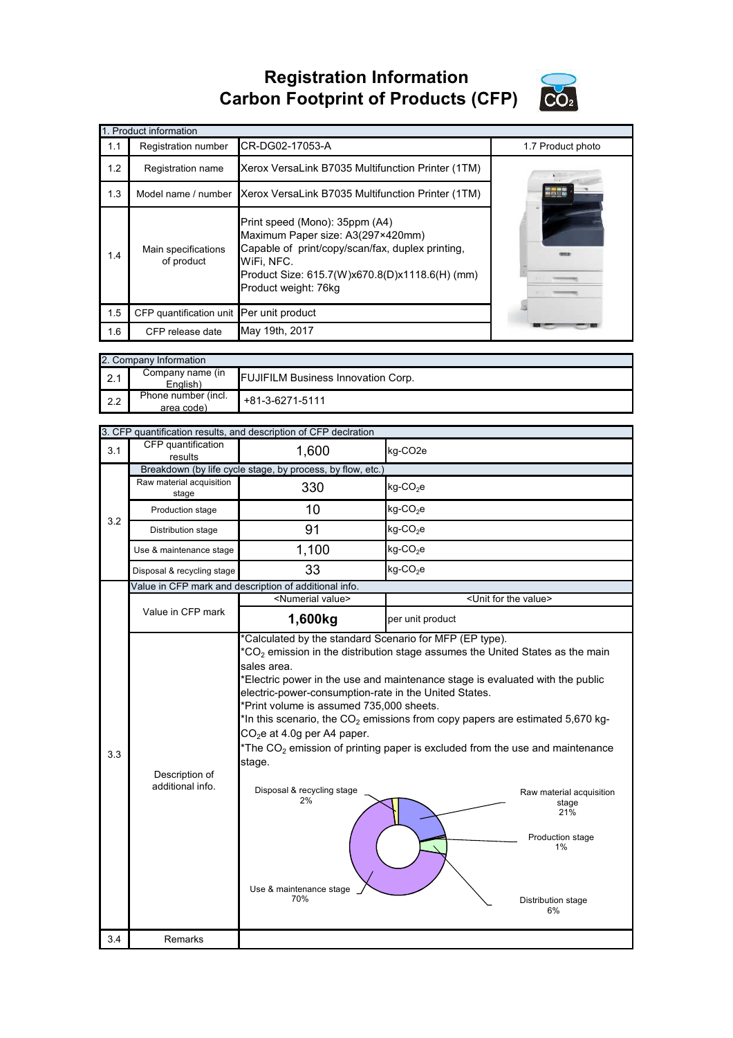**Registration Information Carbon Footprint of Products (CFP)**



| 1. Product information |                                          |                                                                                                                                                                                                                 |                   |  |  |
|------------------------|------------------------------------------|-----------------------------------------------------------------------------------------------------------------------------------------------------------------------------------------------------------------|-------------------|--|--|
| 1.1                    | Registration number                      | CR-DG02-17053-A                                                                                                                                                                                                 | 1.7 Product photo |  |  |
| 1.2                    | Registration name                        | Xerox VersaLink B7035 Multifunction Printer (1TM)                                                                                                                                                               |                   |  |  |
| 1.3                    |                                          | Model name / number Xerox VersaLink B7035 Multifunction Printer (1TM)                                                                                                                                           | <b>MEDITE</b>     |  |  |
| 1.4                    | Main specifications<br>of product        | Print speed (Mono): 35ppm (A4)<br>Maximum Paper size: A3(297×420mm)<br>Capable of print/copy/scan/fax, duplex printing,<br>WiFi, NFC.<br>Product Size: 615.7(W)x670.8(D)x1118.6(H) (mm)<br>Product weight: 76kg |                   |  |  |
| 1.5                    | CFP quantification unit Per unit product |                                                                                                                                                                                                                 |                   |  |  |
| 1.6                    | CFP release date                         | May 19th, 2017                                                                                                                                                                                                  |                   |  |  |

|     | 2. Company Information            |                                           |  |  |  |
|-----|-----------------------------------|-------------------------------------------|--|--|--|
| 2.1 | Company name (in<br>English)      | <b>FUJIFILM Business Innovation Corp.</b> |  |  |  |
| 2.2 | Phone number (incl.<br>area code) | $+81-3-6271-5111$                         |  |  |  |

|     | 3. CFP quantification results, and description of CFP declration |                                                                                                                                                                                                                                                                                             |                                                                                                                                                                                                                                                                                                                                                                                                                                         |  |  |  |
|-----|------------------------------------------------------------------|---------------------------------------------------------------------------------------------------------------------------------------------------------------------------------------------------------------------------------------------------------------------------------------------|-----------------------------------------------------------------------------------------------------------------------------------------------------------------------------------------------------------------------------------------------------------------------------------------------------------------------------------------------------------------------------------------------------------------------------------------|--|--|--|
| 3.1 | CFP quantification<br>results                                    | 1,600                                                                                                                                                                                                                                                                                       | kg-CO2e                                                                                                                                                                                                                                                                                                                                                                                                                                 |  |  |  |
|     | Breakdown (by life cycle stage, by process, by flow, etc.)       |                                                                                                                                                                                                                                                                                             |                                                                                                                                                                                                                                                                                                                                                                                                                                         |  |  |  |
|     | Raw material acquisition<br>stage                                | 330                                                                                                                                                                                                                                                                                         | kg-CO <sub>2</sub> e                                                                                                                                                                                                                                                                                                                                                                                                                    |  |  |  |
| 3.2 | Production stage                                                 | 10                                                                                                                                                                                                                                                                                          | kg-CO <sub>2</sub> e                                                                                                                                                                                                                                                                                                                                                                                                                    |  |  |  |
|     | Distribution stage                                               | 91                                                                                                                                                                                                                                                                                          | kg-CO <sub>2</sub> e                                                                                                                                                                                                                                                                                                                                                                                                                    |  |  |  |
|     | Use & maintenance stage                                          | 1,100                                                                                                                                                                                                                                                                                       | kg-CO <sub>2</sub> e                                                                                                                                                                                                                                                                                                                                                                                                                    |  |  |  |
|     | Disposal & recycling stage                                       | 33                                                                                                                                                                                                                                                                                          | kg-CO <sub>2</sub> e                                                                                                                                                                                                                                                                                                                                                                                                                    |  |  |  |
|     |                                                                  | Value in CFP mark and description of additional info.                                                                                                                                                                                                                                       |                                                                                                                                                                                                                                                                                                                                                                                                                                         |  |  |  |
|     |                                                                  | <numerial value=""></numerial>                                                                                                                                                                                                                                                              | <unit for="" the="" value=""></unit>                                                                                                                                                                                                                                                                                                                                                                                                    |  |  |  |
|     | Value in CFP mark                                                | 1,600kg                                                                                                                                                                                                                                                                                     | per unit product                                                                                                                                                                                                                                                                                                                                                                                                                        |  |  |  |
| 3.3 | Description of<br>additional info.                               | *Calculated by the standard Scenario for MFP (EP type).<br>sales area.<br>electric-power-consumption-rate in the United States.<br>*Print volume is assumed 735,000 sheets.<br>$CO2e$ at 4.0g per A4 paper.<br>stage.<br>Disposal & recycling stage<br>2%<br>Use & maintenance stage<br>70% | $*CO2$ emission in the distribution stage assumes the United States as the main<br>*Electric power in the use and maintenance stage is evaluated with the public<br>*In this scenario, the $CO2$ emissions from copy papers are estimated 5,670 kg-<br>*The $CO2$ emission of printing paper is excluded from the use and maintenance<br>Raw material acquisition<br>stage<br>21%<br>Production stage<br>1%<br>Distribution stage<br>6% |  |  |  |
| 3.4 | Remarks                                                          |                                                                                                                                                                                                                                                                                             |                                                                                                                                                                                                                                                                                                                                                                                                                                         |  |  |  |